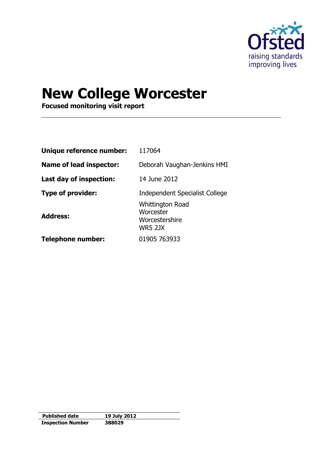

# **New College Worcester**

**Focused monitoring visit report**

| Unique reference number: | 117064                                                                   |
|--------------------------|--------------------------------------------------------------------------|
| Name of lead inspector:  | Deborah Vaughan-Jenkins HMI                                              |
| Last day of inspection:  | 14 June 2012                                                             |
| <b>Type of provider:</b> | <b>Independent Specialist College</b>                                    |
| <b>Address:</b>          | <b>Whittington Road</b><br>Worcester<br>Worcestershire<br><b>WR5 2JX</b> |
| <b>Telephone number:</b> | 01905 763933                                                             |

| <b>Published date</b>    | 19 July 2012 |
|--------------------------|--------------|
| <b>Inspection Number</b> | 388029       |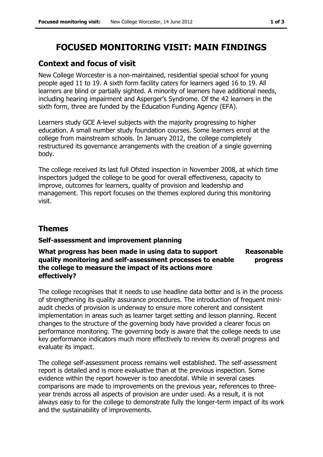## **FOCUSED MONITORING VISIT: MAIN FINDINGS**

## **Context and focus of visit**

New College Worcester is a non-maintained, residential special school for young people aged 11 to 19. A sixth form facility caters for learners aged 16 to 19. All learners are blind or partially sighted. A minority of learners have additional needs, including hearing impairment and Asperger's Syndrome. Of the 42 learners in the sixth form, three are funded by the Education Funding Agency (EFA).

Learners study GCE A-level subjects with the majority progressing to higher education. A small number study foundation courses. Some learners enrol at the college from mainstream schools. In January 2012, the college completely restructured its governance arrangements with the creation of a single governing body.

The college received its last full Ofsted inspection in November 2008, at which time inspectors judged the college to be good for overall effectiveness, capacity to improve, outcomes for learners, quality of provision and leadership and management. This report focuses on the themes explored during this monitoring visit.

## **Themes**

#### **Self-assessment and improvement planning**

#### **What progress has been made in using data to support quality monitoring and self-assessment processes to enable the college to measure the impact of its actions more effectively? Reasonable progress**

The college recognises that it needs to use headline data better and is in the process of strengthening its quality assurance procedures. The introduction of frequent miniaudit checks of provision is underway to ensure more coherent and consistent implementation in areas such as learner target setting and lesson planning. Recent changes to the structure of the governing body have provided a clearer focus on performance monitoring. The governing body is aware that the college needs to use key performance indicators much more effectively to review its overall progress and evaluate its impact.

The college self-assessment process remains well established. The self-assessment report is detailed and is more evaluative than at the previous inspection. Some evidence within the report however is too anecdotal. While in several cases comparisons are made to improvements on the previous year, references to threeyear trends across all aspects of provision are under used. As a result, it is not always easy to for the college to demonstrate fully the longer-term impact of its work and the sustainability of improvements.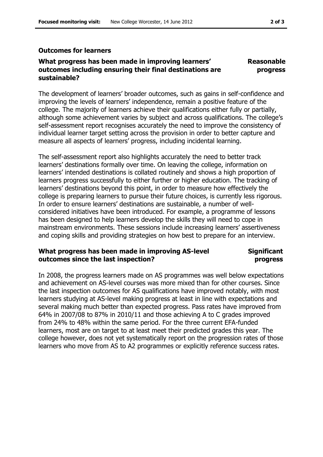#### **Outcomes for learners**

#### **What progress has been made in improving learners' outcomes including ensuring their final destinations are sustainable? Reasonable progress**

The development of learners' broader outcomes, such as gains in self-confidence and improving the levels of learners' independence, remain a positive feature of the college. The majority of learners achieve their qualifications either fully or partially, although some achievement varies by subject and across qualifications. The college's self-assessment report recognises accurately the need to improve the consistency of individual learner target setting across the provision in order to better capture and measure all aspects of learners' progress, including incidental learning.

The self-assessment report also highlights accurately the need to better track learners' destinations formally over time. On leaving the college, information on learners' intended destinations is collated routinely and shows a high proportion of learners progress successfully to either further or higher education. The tracking of learners' destinations beyond this point, in order to measure how effectively the college is preparing learners to pursue their future choices, is currently less rigorous. In order to ensure learners' destinations are sustainable, a number of wellconsidered initiatives have been introduced. For example, a programme of lessons has been designed to help learners develop the skills they will need to cope in mainstream environments. These sessions include increasing learners' assertiveness and coping skills and providing strategies on how best to prepare for an interview.

#### **What progress has been made in improving AS-level outcomes since the last inspection?**

#### **Significant progress**

In 2008, the progress learners made on AS programmes was well below expectations and achievement on AS-level courses was more mixed than for other courses. Since the last inspection outcomes for AS qualifications have improved notably, with most learners studying at AS-level making progress at least in line with expectations and several making much better than expected progress. Pass rates have improved from 64% in 2007/08 to 87% in 2010/11 and those achieving A to C grades improved from 24% to 48% within the same period. For the three current EFA-funded learners, most are on target to at least meet their predicted grades this year. The college however, does not yet systematically report on the progression rates of those learners who move from AS to A2 programmes or explicitly reference success rates.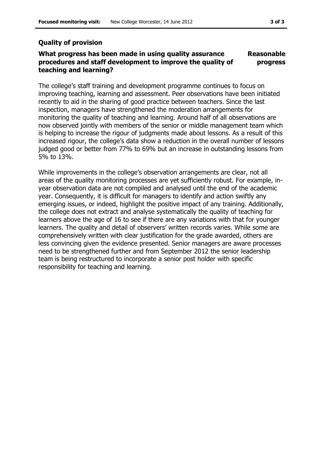### **Quality of provision**

#### **What progress has been made in using quality assurance procedures and staff development to improve the quality of teaching and learning? Reasonable progress**

The college's staff training and development programme continues to focus on improving teaching, learning and assessment. Peer observations have been initiated recently to aid in the sharing of good practice between teachers. Since the last inspection, managers have strengthened the moderation arrangements for monitoring the quality of teaching and learning. Around half of all observations are now observed jointly with members of the senior or middle management team which is helping to increase the rigour of judgments made about lessons. As a result of this increased rigour, the college's data show a reduction in the overall number of lessons judged good or better from 77% to 69% but an increase in outstanding lessons from 5% to 13%.

While improvements in the college's observation arrangements are clear, not all areas of the quality monitoring processes are yet sufficiently robust. For example, inyear observation data are not compiled and analysed until the end of the academic year. Consequently, it is difficult for managers to identify and action swiftly any emerging issues, or indeed, highlight the positive impact of any training. Additionally, the college does not extract and analyse systematically the quality of teaching for learners above the age of 16 to see if there are any variations with that for younger learners. The quality and detail of observers' written records varies. While some are comprehensively written with clear justification for the grade awarded, others are less convincing given the evidence presented. Senior managers are aware processes need to be strengthened further and from September 2012 the senior leadership team is being restructured to incorporate a senior post holder with specific responsibility for teaching and learning.